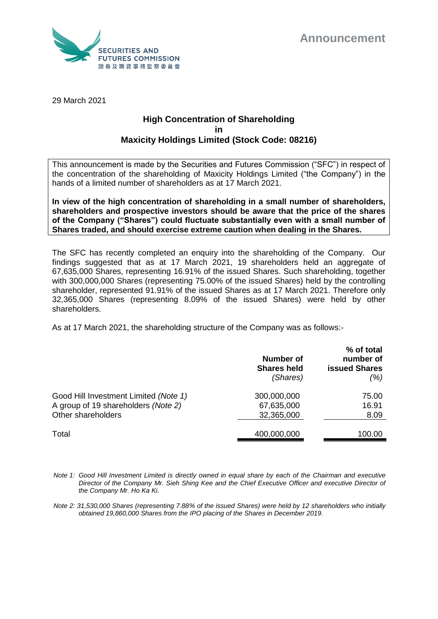



29 March 2021

## **High Concentration of Shareholding in Maxicity Holdings Limited (Stock Code: 08216)**

This announcement is made by the Securities and Futures Commission ("SFC") in respect of the concentration of the shareholding of Maxicity Holdings Limited ("the Company") in the hands of a limited number of shareholders as at 17 March 2021.

**In view of the high concentration of shareholding in a small number of shareholders, shareholders and prospective investors should be aware that the price of the shares of the Company ("Shares") could fluctuate substantially even with a small number of Shares traded, and should exercise extreme caution when dealing in the Shares.**

The SFC has recently completed an enquiry into the shareholding of the Company. Our findings suggested that as at 17 March 2021, 19 shareholders held an aggregate of 67,635,000 Shares, representing 16.91% of the issued Shares. Such shareholding, together with 300,000,000 Shares (representing 75.00% of the issued Shares) held by the controlling shareholder, represented 91.91% of the issued Shares as at 17 March 2021. Therefore only 32,365,000 Shares (representing 8.09% of the issued Shares) were held by other shareholders.

As at 17 March 2021, the shareholding structure of the Company was as follows:-

|                                                                                                    | <b>Number of</b><br><b>Shares held</b><br>(Shares) | % of total<br>number of<br><b>issued Shares</b><br>(%) |
|----------------------------------------------------------------------------------------------------|----------------------------------------------------|--------------------------------------------------------|
| Good Hill Investment Limited (Note 1)<br>A group of 19 shareholders (Note 2)<br>Other shareholders | 300,000,000<br>67,635,000<br>32,365,000            | 75.00<br>16.91<br>8.09                                 |
| Total                                                                                              | 400,000,000                                        | 100.00                                                 |

*Note 1: Good Hill Investment Limited is directly owned in equal share by each of the Chairman and executive Director of the Company Mr. Sieh Shing Kee and the Chief Executive Officer and executive Director of the Company Mr. Ho Ka Ki.* 

*Note 2: 31,530,000 Shares (representing 7.88% of the issued Shares) were held by 12 shareholders who initially obtained 19,860,000 Shares from the IPO placing of the Shares in December 2019.*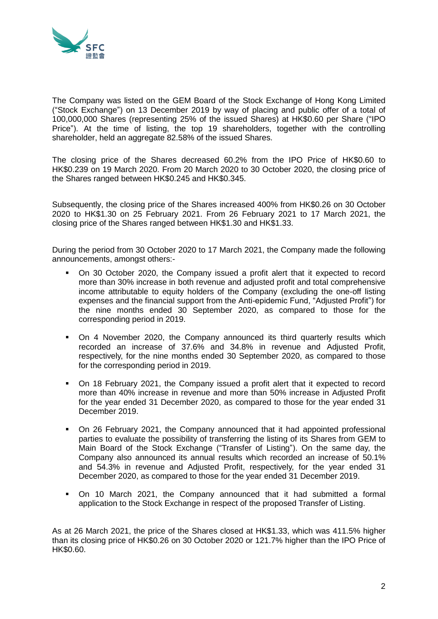

The Company was listed on the GEM Board of the Stock Exchange of Hong Kong Limited ("Stock Exchange") on 13 December 2019 by way of placing and public offer of a total of 100,000,000 Shares (representing 25% of the issued Shares) at HK\$0.60 per Share ("IPO Price"). At the time of listing, the top 19 shareholders, together with the controlling shareholder, held an aggregate 82.58% of the issued Shares.

The closing price of the Shares decreased 60.2% from the IPO Price of HK\$0.60 to HK\$0.239 on 19 March 2020. From 20 March 2020 to 30 October 2020, the closing price of the Shares ranged between HK\$0.245 and HK\$0.345.

Subsequently, the closing price of the Shares increased 400% from HK\$0.26 on 30 October 2020 to HK\$1.30 on 25 February 2021. From 26 February 2021 to 17 March 2021, the closing price of the Shares ranged between HK\$1.30 and HK\$1.33.

During the period from 30 October 2020 to 17 March 2021, the Company made the following announcements, amongst others:-

- On 30 October 2020, the Company issued a profit alert that it expected to record more than 30% increase in both revenue and adjusted profit and total comprehensive income attributable to equity holders of the Company (excluding the one-off listing expenses and the financial support from the Anti-epidemic Fund, "Adjusted Profit") for the nine months ended 30 September 2020, as compared to those for the corresponding period in 2019.
- On 4 November 2020, the Company announced its third quarterly results which recorded an increase of 37.6% and 34.8% in revenue and Adjusted Profit, respectively, for the nine months ended 30 September 2020, as compared to those for the corresponding period in 2019.
- On 18 February 2021, the Company issued a profit alert that it expected to record more than 40% increase in revenue and more than 50% increase in Adjusted Profit for the year ended 31 December 2020, as compared to those for the year ended 31 December 2019.
- On 26 February 2021, the Company announced that it had appointed professional parties to evaluate the possibility of transferring the listing of its Shares from GEM to Main Board of the Stock Exchange ("Transfer of Listing"). On the same day, the Company also announced its annual results which recorded an increase of 50.1% and 54.3% in revenue and Adjusted Profit, respectively, for the year ended 31 December 2020, as compared to those for the year ended 31 December 2019.
- On 10 March 2021, the Company announced that it had submitted a formal application to the Stock Exchange in respect of the proposed Transfer of Listing.

As at 26 March 2021, the price of the Shares closed at HK\$1.33, which was 411.5% higher than its closing price of HK\$0.26 on 30 October 2020 or 121.7% higher than the IPO Price of HK\$0.60.